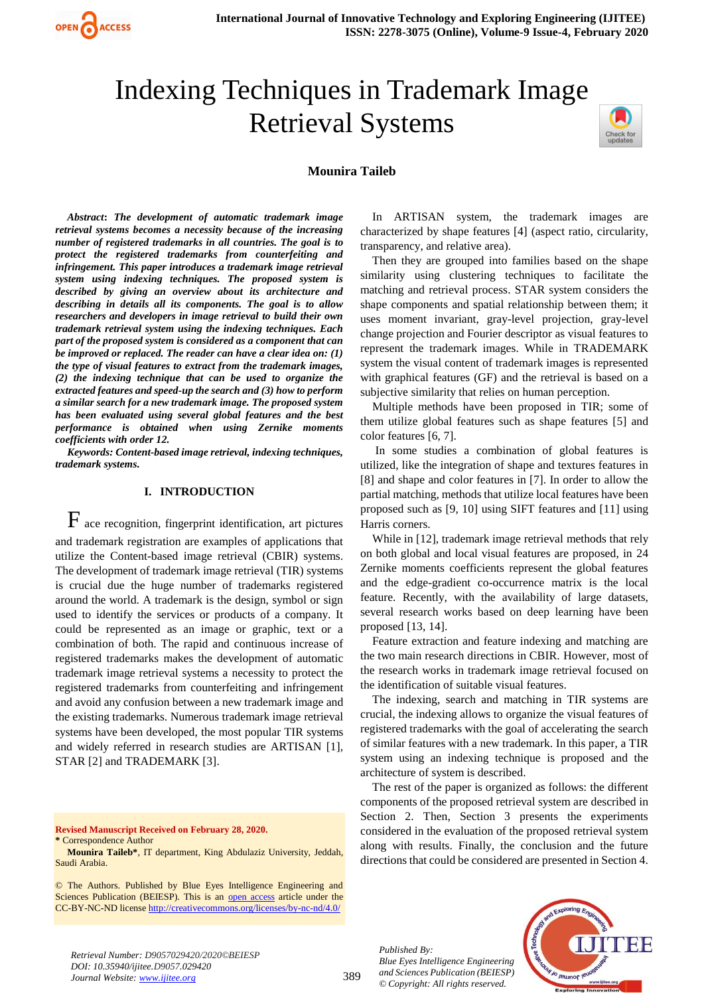

# Indexing Techniques in Trademark Image Retrieval Systems



## **Mounira Taileb**

*Abstract***:** *The development of automatic trademark image retrieval systems becomes a necessity because of the increasing number of registered trademarks in all countries. The goal is to protect the registered trademarks from counterfeiting and infringement. This paper introduces a trademark image retrieval system using indexing techniques. The proposed system is described by giving an overview about its architecture and describing in details all its components. The goal is to allow researchers and developers in image retrieval to build their own trademark retrieval system using the indexing techniques. Each part of the proposed system is considered as a component that can be improved or replaced. The reader can have a clear idea on: (1) the type of visual features to extract from the trademark images, (2) the indexing technique that can be used to organize the extracted features and speed-up the search and (3) how to perform a similar search for a new trademark image. The proposed system has been evaluated using several global features and the best performance is obtained when using Zernike moments coefficients with order 12.*

*Keywords: Content-based image retrieval, indexing techniques, trademark systems.* 

## **I. INTRODUCTION**

 $F$  ace recognition, fingerprint identification, art pictures and trademark registration are examples of applications that utilize the Content-based image retrieval (CBIR) systems. The development of trademark image retrieval (TIR) systems is crucial due the huge number of trademarks registered around the world. A trademark is the design, symbol or sign used to identify the services or products of a company. It could be represented as an image or graphic, text or a combination of both. The rapid and continuous increase of registered trademarks makes the development of automatic trademark image retrieval systems a necessity to protect the registered trademarks from counterfeiting and infringement and avoid any confusion between a new trademark image and the existing trademarks. Numerous trademark image retrieval systems have been developed, the most popular TIR systems and widely referred in research studies are ARTISAN [1], STAR [2] and TRADEMARK [3].

**Revised Manuscript Received on February 28, 2020.**

**\*** Correspondence Author

**Mounira Taileb\***, IT department, King Abdulaziz University, Jeddah, Saudi Arabia.

© The Authors. Published by Blue Eyes Intelligence Engineering and Sciences Publication (BEIESP). This is an [open access](https://www.openaccess.nl/en/open-publications) article under the CC-BY-NC-ND licens[e http://creativecommons.org/licenses/by-nc-nd/4.0/](http://creativecommons.org/licenses/by-nc-nd/4.0/)

In ARTISAN system, the trademark images are characterized by shape features [4] (aspect ratio, circularity, transparency, and relative area).

Then they are grouped into families based on the shape similarity using clustering techniques to facilitate the matching and retrieval process. STAR system considers the shape components and spatial relationship between them; it uses moment invariant, gray-level projection, gray-level change projection and Fourier descriptor as visual features to represent the trademark images. While in TRADEMARK system the visual content of trademark images is represented with graphical features (GF) and the retrieval is based on a subjective similarity that relies on human perception.

Multiple methods have been proposed in TIR; some of them utilize global features such as shape features [5] and color features [6, 7].

In some studies a combination of global features is utilized, like the integration of shape and textures features in [8] and shape and color features in [7]. In order to allow the partial matching, methods that utilize local features have been proposed such as [9, 10] using SIFT features and [11] using Harris corners.

While in [12], trademark image retrieval methods that rely on both global and local visual features are proposed, in 24 Zernike moments coefficients represent the global features and the edge-gradient co-occurrence matrix is the local feature. Recently, with the availability of large datasets, several research works based on deep learning have been proposed [13, 14].

Feature extraction and feature indexing and matching are the two main research directions in CBIR. However, most of the research works in trademark image retrieval focused on the identification of suitable visual features.

The indexing, search and matching in TIR systems are crucial, the indexing allows to organize the visual features of registered trademarks with the goal of accelerating the search of similar features with a new trademark. In this paper, a TIR system using an indexing technique is proposed and the architecture of system is described.

The rest of the paper is organized as follows: the different components of the proposed retrieval system are described in Section 2. Then, Section 3 presents the experiments considered in the evaluation of the proposed retrieval system along with results. Finally, the conclusion and the future directions that could be considered are presented in Section 4.

*Published By: Blue Eyes Intelligence Engineering and Sciences Publication (BEIESP) © Copyright: All rights reserved.*



*Retrieval Number: D9057029420/2020©BEIESP DOI: 10.35940/ijitee.D9057.029420 Journal Website: www.ijitee.org*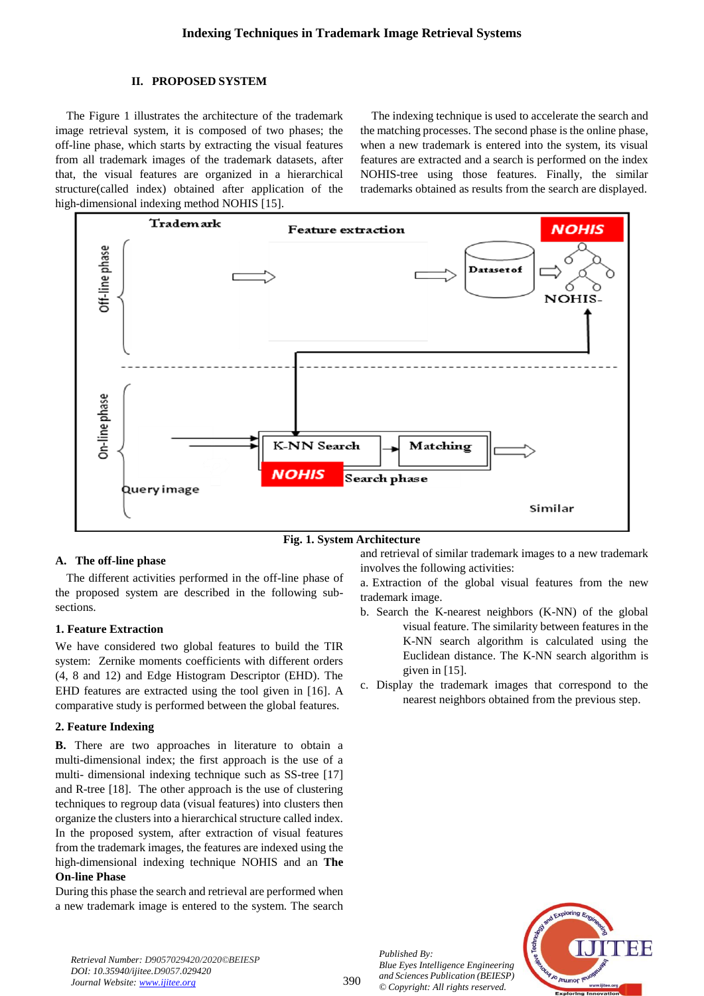# **II. PROPOSED SYSTEM**

The Figure 1 illustrates the architecture of the trademark image retrieval system, it is composed of two phases; the off-line phase, which starts by extracting the visual features from all trademark images of the trademark datasets, after that, the visual features are organized in a hierarchical structure(called index) obtained after application of the high-dimensional indexing method NOHIS [15].

The indexing technique is used to accelerate the search and the matching processes. The second phase is the online phase, when a new trademark is entered into the system, its visual features are extracted and a search is performed on the index NOHIS-tree using those features. Finally, the similar trademarks obtained as results from the search are displayed.





## **A. The off-line phase**

The different activities performed in the off-line phase of the proposed system are described in the following subsections.

# **1. Feature Extraction**

We have considered two global features to build the TIR system: Zernike moments coefficients with different orders (4, 8 and 12) and Edge Histogram Descriptor (EHD). The EHD features are extracted using the tool given in [16]. A comparative study is performed between the global features.

## **2. Feature Indexing**

**B.** There are two approaches in literature to obtain a multi-dimensional index; the first approach is the use of a multi- dimensional indexing technique such as SS-tree [17] and R-tree [18]. The other approach is the use of clustering techniques to regroup data (visual features) into clusters then organize the clusters into a hierarchical structure called index. In the proposed system, after extraction of visual features from the trademark images, the features are indexed using the high-dimensional indexing technique NOHIS and an **The On-line Phase**

During this phase the search and retrieval are performed when a new trademark image is entered to the system. The search and retrieval of similar trademark images to a new trademark involves the following activities:

a. Extraction of the global visual features from the new trademark image.

- b. Search the K-nearest neighbors (K-NN) of the global visual feature. The similarity between features in the K-NN search algorithm is calculated using the Euclidean distance. The K-NN search algorithm is given in [15].
- c. Display the trademark images that correspond to the nearest neighbors obtained from the previous step.

*Published By: Blue Eyes Intelligence Engineering and Sciences Publication (BEIESP) © Copyright: All rights reserved.*



*Retrieval Number: D9057029420/2020©BEIESP DOI: 10.35940/ijitee.D9057.029420 Journal Website: www.ijitee.org*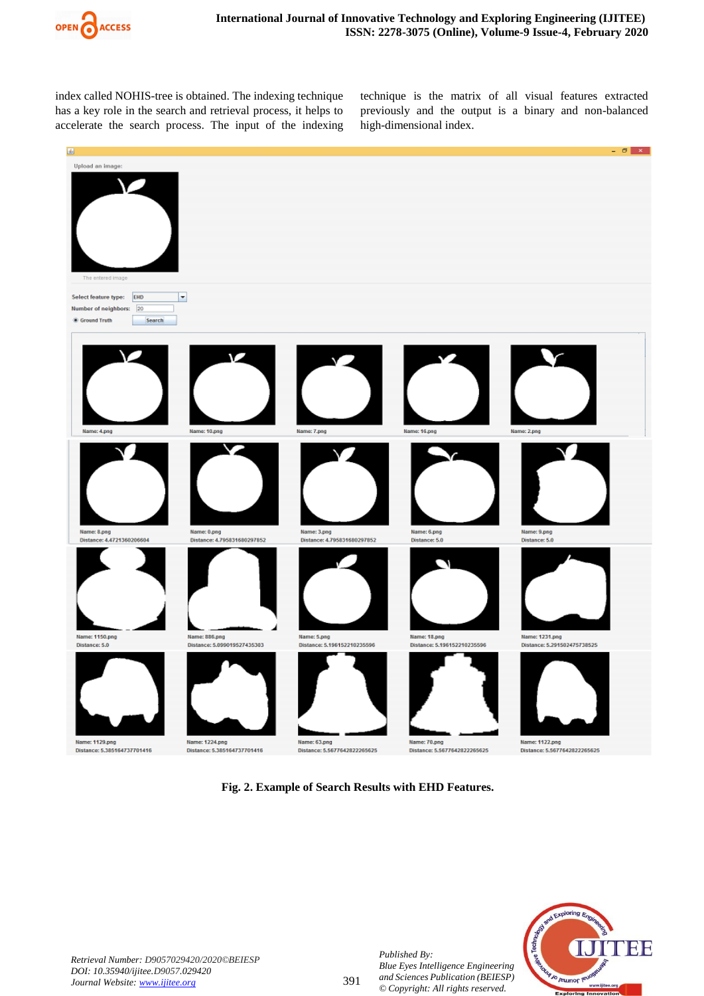

index called NOHIS-tree is obtained. The indexing technique has a key role in the search and retrieval process, it helps to accelerate the search process. The input of the indexing technique is the matrix of all visual features extracted previously and the output is a binary and non-balanced high-dimensional index.



**Fig. 2. Example of Search Results with EHD Features.**



*Published By:*

*Blue Eyes Intelligence Engineering and Sciences Publication (BEIESP) © Copyright: All rights reserved.*